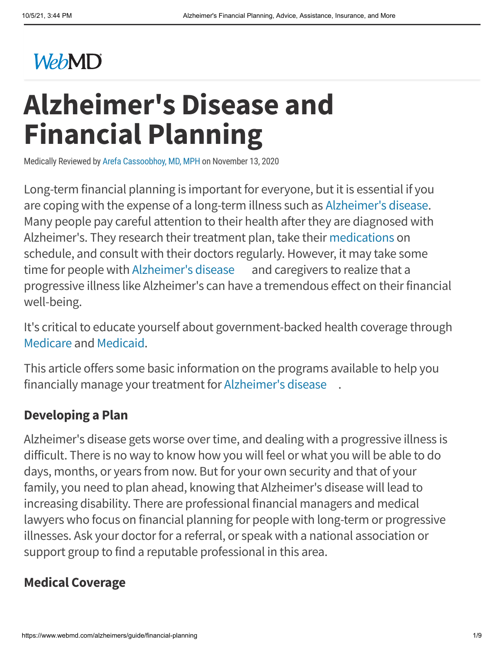# **WebMD**

# **Alzheimer's Disease and Financial Planning**

Medically Reviewed by Arefa [Cassoobhoy,](https://www.webmd.com/arefa-cassoobhoy) MD, MPH on November 13, 2020

Long-term financial planning is important for everyone, but it is essential if you are coping with the expense of a long-term illness such as [Alzheimer's](https://www.webmd.com/alzheimers/default.htm) disease. Many people pay careful attention to their health after they are diagnosed with Alzheimer's. They research their treatment plan, take their [medications](https://www.webmd.com/drugs/index-drugs.aspx) on schedule, and consult with their doctors regularly. However, it may take some time for people with [Alzheimer's](https://www.webmd.com/alzheimers/ss/slideshow-alzheimers-overview) disease and caregivers to realize that a progressive illness like Alzheimer's can have a tremendous effect on their financial well-being.

It's critical to educate yourself about government-backed health coverage through [Medicare](https://www.webmd.com/health-insurance/medicare-eligibility-and-enrollment) and [Medicaid.](https://www.webmd.com/health-insurance/medicaid-health-care-people-low-incomes)

This article offers some basic information on the programs available to help you financially manage your treatment for [Alzheimer's](https://www.webmd.com/alzheimers/rm-quiz-alzheimers-myths-facts) disease .

#### **Developing a Plan**

Alzheimer's disease gets worse over time, and dealing with a progressive illness is difficult. There is no way to know how you will feel or what you will be able to do days, months, or years from now. But for your own security and that of your family, you need to plan ahead, knowing that Alzheimer's disease will lead to increasing disability. There are professional financial managers and medical lawyers who focus on financial planning for people with long-term or progressive illnesses. Ask your doctor for a referral, or speak with a national association or support group to find a reputable professional in this area.

#### **Medical Coverage**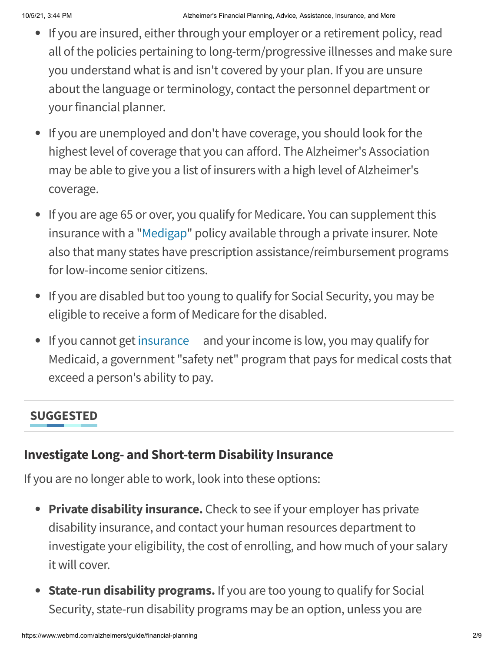- If you are insured, either through your employer or a retirement policy, read all of the policies pertaining to long-term/progressive illnesses and make sure you understand what is and isn't covered by your plan. If you are unsure about the language or terminology, contact the personnel department or your financial planner.
- If you are unemployed and don't have coverage, you should look for the highest level of coverage that you can afford. The Alzheimer's Association may be able to give you a list of insurers with a high level of Alzheimer's coverage.
- If you are age 65 or over, you qualify for Medicare. You can supplement this insurance with a ["Medigap](https://www.webmd.com/health-insurance/medigap)" policy available through a private insurer. Note also that many states have prescription assistance/reimbursement programs for low-income senior citizens.
- If you are disabled but too young to qualify for Social Security, you may be eligible to receive a form of Medicare for the disabled.
- If you cannot get [insurance](https://www.webmd.com/health-insurance/rm-quiz-insurance-basics) and your income is low, you may qualify for Medicaid, a government "safety net" program that pays for medical costs that exceed a person's ability to pay.

#### **SUGGESTED**

#### **Investigate Long- and Short-term Disability Insurance**

If you are no longer able to work, look into these options:

- **Private disability insurance.** Check to see if your employer has private disability insurance, and contact your human resources department to investigate your eligibility, the cost of enrolling, and how much of your salary it will cover.
- **State-run disability programs.** If you are too young to qualify for Social Security, state-run disability programs may be an option, unless you are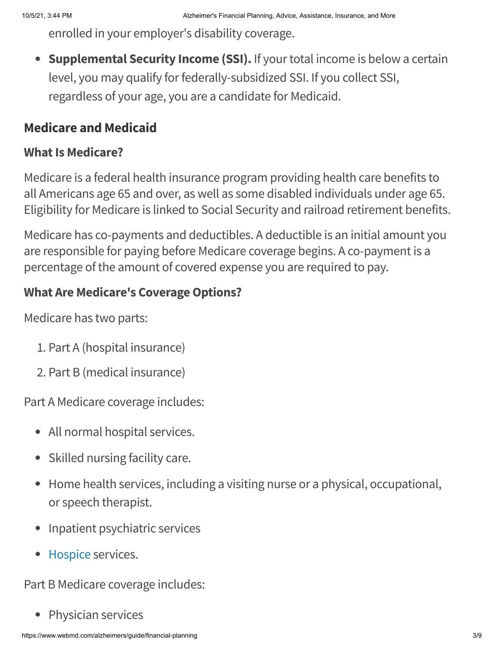enrolled in your employer's disability coverage.

**Supplemental Security Income (SSI).** If your total income is below a certain level, you may qualify for federally-subsidized SSI. If you collect SSI, regardless of your age, you are a candidate for Medicaid.

#### **Medicare and Medicaid**

#### **What Is Medicare?**

Medicare is a federal health insurance program providing health care benefits to all Americans age 65 and over, as well as some disabled individuals under age 65. Eligibility for Medicare is linked to Social Security and railroad retirement benefits.

Medicare has co-payments and deductibles. A deductible is an initial amount you are responsible for paying before Medicare coverage begins. A co-payment is a percentage of the amount of covered expense you are required to pay.

#### **What Are Medicare's Coverage Options?**

Medicare has two parts:

- 1. Part A (hospital insurance)
- 2. Part B (medical insurance)

Part A Medicare coverage includes:

- All normal hospital services.
- Skilled nursing facility care.
- Home health services, including a visiting nurse or a physical, occupational, or speech therapist.
- Inpatient psychiatric services
- [Hospice](https://www.webmd.com/palliative-care/hospice-care) services.

Part B Medicare coverage includes:

• Physician services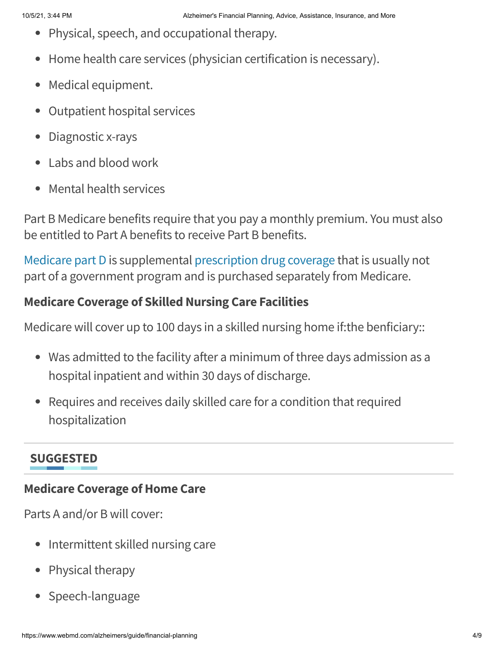- Physical, speech, and occupational therapy.
- Home health care services (physician certification is necessary).
- Medical equipment.  $\bullet$
- Outpatient hospital services  $\bullet$
- Diagnostic x-rays  $\bullet$
- Labs and blood work  $\bullet$
- Mental health services  $\bullet$

Part B Medicare benefits require that you pay a monthly premium. You must also be entitled to Part A benefits to receive Part B benefits.

[Medicare](https://www.webmd.com/health-insurance/medicare-part-d) part D is supplemental [prescription](https://www.webmd.com/health-insurance/aca-prescription-drug-costs-faq) drug coverage that is usually not part of a government program and is purchased separately from Medicare.

#### **Medicare Coverage of Skilled Nursing Care Facilities**

Medicare will cover up to 100 days in a skilled nursing home if:the benficiary::

- Was admitted to the facility after a minimum of three days admission as a hospital inpatient and within 30 days of discharge.
- Requires and receives daily skilled care for a condition that required hospitalization

### **SUGGESTED**

#### **Medicare Coverage of Home Care**

Parts A and/or B will cover:

- Intermittent skilled nursing care
- Physical therapy
- Speech-language $\bullet$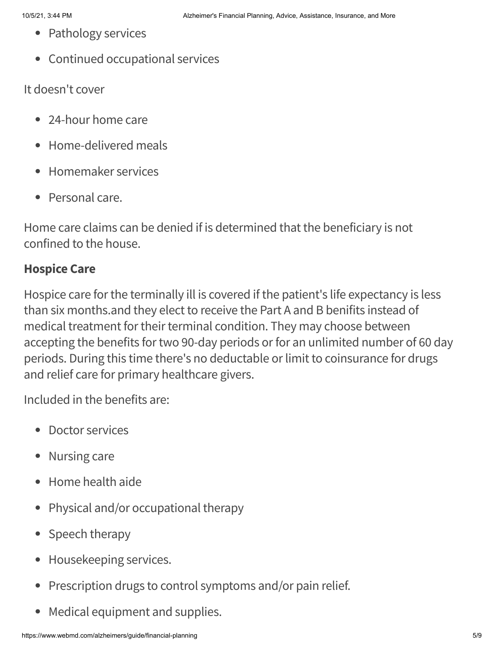- Pathology services
- Continued occupational services

It doesn't cover

- 24-hour home care
- Home-delivered meals
- Homemaker services
- Personal care.

Home care claims can be denied if is determined that the beneficiary is not confined to the house.

#### **Hospice Care**

Hospice care for the terminally ill is covered if the patient's life expectancy is less than six months.and they elect to receive the Part A and B benifits instead of medical treatment for their terminal condition. They may choose between accepting the benefits for two 90-day periods or for an unlimited number of 60 day periods. During this time there's no deductable or limit to coinsurance for drugs and relief care for primary healthcare givers.

Included in the benefits are:

- Doctor services
- Nursing care
- Home health aide
- Physical and/or occupational therapy  $\bullet$
- Speech therapy
- Housekeeping services.
- Prescription drugs to control symptoms and/or pain relief.  $\bullet$
- Medical equipment and supplies. $\bullet$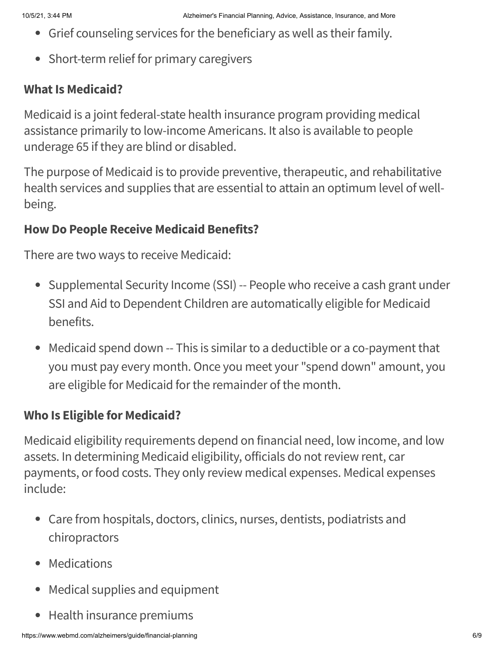- Grief counseling services for the beneficiary as well as their family.
- Short-term relief for primary caregivers

#### **What Is Medicaid?**

Medicaid is a joint federal-state health insurance program providing medical assistance primarily to low-income Americans. It also is available to people underage 65 if they are blind or disabled.

The purpose of Medicaid is to provide preventive, therapeutic, and rehabilitative health services and supplies that are essential to attain an optimum level of wellbeing.

#### **How Do People Receive Medicaid Benefits?**

There are two ways to receive Medicaid:

- Supplemental Security Income (SSI) -- People who receive a cash grant under SSI and Aid to Dependent Children are automatically eligible for Medicaid benefits.
- Medicaid spend down -- This is similar to a deductible or a co-payment that you must pay every month. Once you meet your "spend down" amount, you are eligible for Medicaid for the remainder of the month.

#### **Who Is Eligible for Medicaid?**

Medicaid eligibility requirements depend on financial need, low income, and low assets. In determining Medicaid eligibility, officials do not review rent, car payments, or food costs. They only review medical expenses. Medical expenses include:

- Care from hospitals, doctors, clinics, nurses, dentists, podiatrists and chiropractors
- Medications
- Medical supplies and equipment
- Health insurance premiums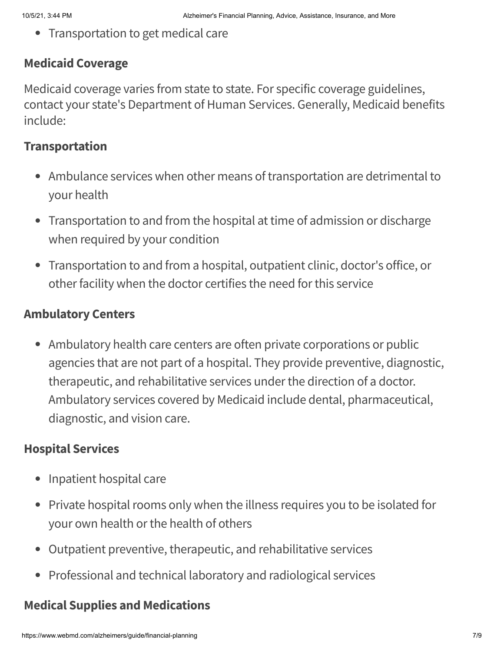• Transportation to get medical care

#### **Medicaid Coverage**

Medicaid coverage varies from state to state. For specific coverage guidelines, contact your state's Department of Human Services. Generally, Medicaid benefits include:

#### **Transportation**

- Ambulance services when other means of transportation are detrimental to your health
- Transportation to and from the hospital at time of admission or discharge when required by your condition
- Transportation to and from a hospital, outpatient clinic, doctor's office, or other facility when the doctor certifies the need for this service

#### **Ambulatory Centers**

• Ambulatory health care centers are often private corporations or public agencies that are not part of a hospital. They provide preventive, diagnostic, therapeutic, and rehabilitative services under the direction of a doctor. Ambulatory services covered by Medicaid include dental, pharmaceutical, diagnostic, and vision care.

#### **Hospital Services**

- Inpatient hospital care
- Private hospital rooms only when the illness requires you to be isolated for your own health or the health of others
- Outpatient preventive, therapeutic, and rehabilitative services
- Professional and technical laboratory and radiological services

#### **Medical Supplies and Medications**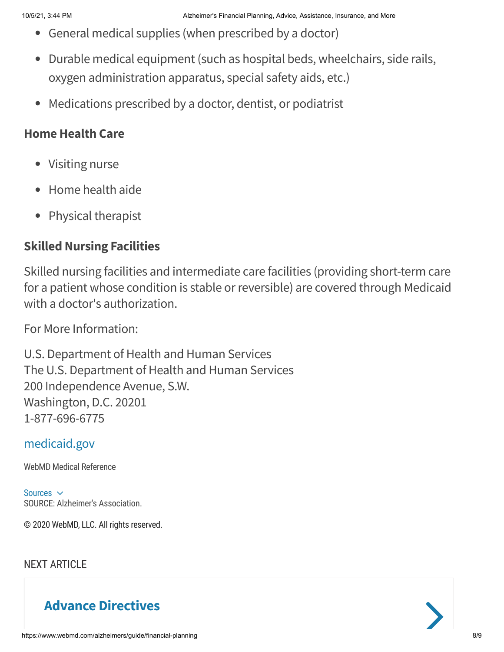- General medical supplies (when prescribed by a doctor)
- Durable medical equipment (such as hospital beds, wheelchairs, side rails, oxygen administration apparatus, special safety aids, etc.)
- Medications prescribed by a doctor, dentist, or podiatrist

#### **Home Health Care**

- Visiting nurse
- Home health aide
- Physical therapist

#### **Skilled Nursing Facilities**

Skilled nursing facilities and intermediate care facilities (providing short-term care for a patient whose condition is stable or reversible) are covered through Medicaid with a doctor's authorization.

For More Information:

U.S. Department of Health and Human Services The U.S. Department of Health and Human Services 200 Independence Avenue, S.W. Washington, D.C. 20201 1-877-696-6775

#### [medicaid.gov](https://www.medicaid.gov/)

WebMD Medical Reference

Sources  $\sim$ SOURCE: Alzheimer's Association.

© 2020 WebMD, LLC. All rights reserved.

#### NEXT ARTICLE

# **Advance [Directives](https://www.webmd.com/alzheimers/guide/caregiver-faq)**